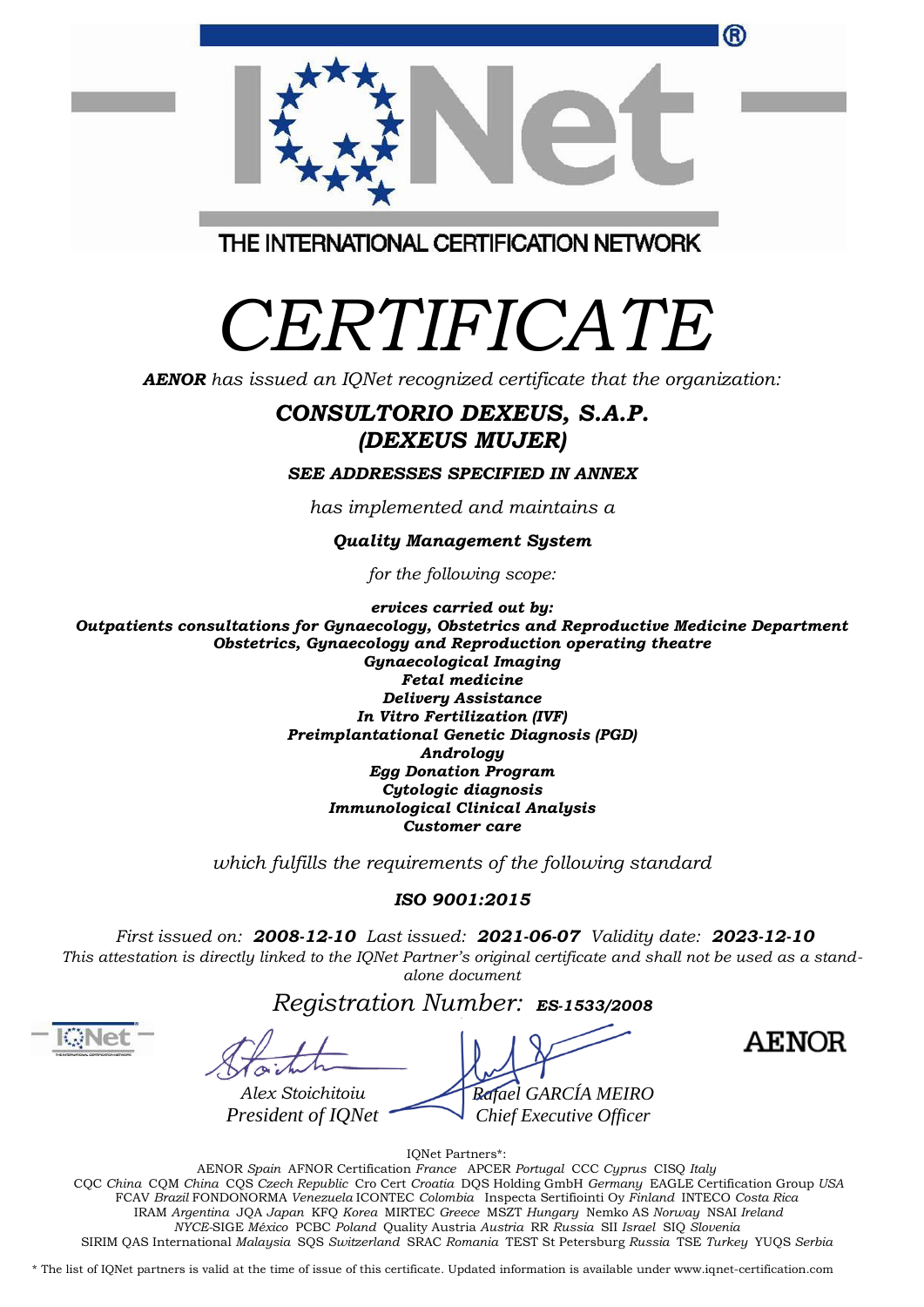|                                         | ® |
|-----------------------------------------|---|
| THE INTERNATIONAL CERTIFICATION NETWORK |   |

## *CERTIFICATE*

*AENOR has issued an IQNet recognized certificate that the organization:*

## *CONSULTORIO DEXEUS, S.A.P. (DEXEUS MUJER)*

*SEE ADDRESSES SPECIFIED IN ANNEX*

*has implemented and maintains a*

*Quality Management System*

*for the following scope:*

*ervices carried out by: Outpatients consultations for Gynaecology, Obstetrics and Reproductive Medicine Department Obstetrics, Gynaecology and Reproduction operating theatre Gynaecological Imaging Fetal medicine Delivery Assistance In Vitro Fertilization (IVF) Preimplantational Genetic Diagnosis (PGD) Andrology Egg Donation Program Cytologic diagnosis Immunological Clinical Analysis Customer care*

*which fulfills the requirements of the following standard*

## *ISO 9001:2015*

*First issued on: 2008-12-10 Last issued: 2021-06-07 Validity date: 2023-12-10* This attestation is directly linked to the IQNet Partner's original certificate and shall not be used as a stand*alone document*

## *Registration Number: ES-1533/2008*

*Rafael GARCÍA MEIRO Chief Executive Officer Alex Stoichitoiu President of IQNet*

**AENOR** 

IQNet Partners\*:

AENOR *Spain* AFNOR Certification *France* APCER *Portugal* CCC *Cyprus* CISQ *Italy* CQC *China* CQM *China* CQS *Czech Republic* Cro Cert *Croatia* DQS Holding GmbH *Germany* EAGLE Certification Group *USA* FCAV *Brazil* FONDONORMA *Venezuela* ICONTEC *Colombia* Inspecta Sertifiointi Oy *Finland* INTECO *Costa Rica* IRAM *Argentina* JQA *Japan* KFQ *Korea* MIRTEC *Greece* MSZT *Hungary* Nemko AS *Norway* NSAI *Ireland NYCE-*SIGE *México* PCBC *Poland* Quality Austria *Austria* RR *Russia* SII *Israel* SIQ *Slovenia* SIRIM QAS International *Malaysia* SQS *Switzerland* SRAC *Romania* TEST St Petersburg *Russia* TSE *Turkey* YUQS *Serbia*

\* The list of IQNet partners is valid at the time of issue of this certificate. Updated information is available under www.iqnet-certification.com